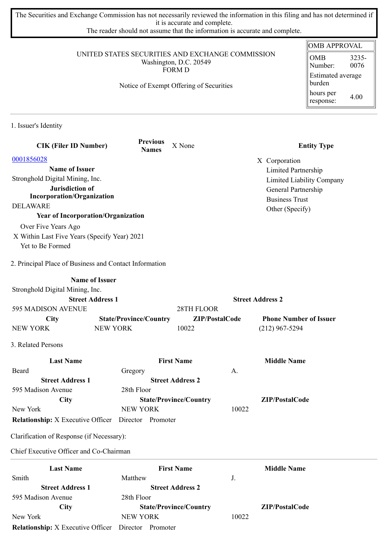The Securities and Exchange Commission has not necessarily reviewed the information in this filing and has not determined if it is accurate and complete.

The reader should not assume that the information is accurate and complete.

## UNITED STATES SECURITIES AND EXCHANGE COMMISSION Washington, D.C. 20549 FORM D

Notice of Exempt Offering of Securities

| <b>OMB APPROVAL</b>         |               |  |  |
|-----------------------------|---------------|--|--|
| OMB<br>Number:              | 3235-<br>0076 |  |  |
| Estimated average<br>burden |               |  |  |
| hours per<br>response:      | 4.00          |  |  |

1. Issuer's Identity

| <b>CIK (Filer ID Number)</b>                               | <b>Previous</b><br><b>Names</b> | X None                        |                | <b>Entity Type</b>            |
|------------------------------------------------------------|---------------------------------|-------------------------------|----------------|-------------------------------|
| 0001856028                                                 |                                 |                               |                | X Corporation                 |
| <b>Name of Issuer</b>                                      |                                 |                               |                | Limited Partnership           |
| Stronghold Digital Mining, Inc.                            |                                 |                               |                | Limited Liability Company     |
| Jurisdiction of                                            |                                 |                               |                | General Partnership           |
| <b>Incorporation/Organization</b>                          |                                 |                               |                | <b>Business Trust</b>         |
| <b>DELAWARE</b>                                            |                                 |                               |                | Other (Specify)               |
| <b>Year of Incorporation/Organization</b>                  |                                 |                               |                |                               |
| Over Five Years Ago                                        |                                 |                               |                |                               |
| X Within Last Five Years (Specify Year) 2021               |                                 |                               |                |                               |
| Yet to Be Formed                                           |                                 |                               |                |                               |
| 2. Principal Place of Business and Contact Information     |                                 |                               |                |                               |
| <b>Name of Issuer</b>                                      |                                 |                               |                |                               |
| Stronghold Digital Mining, Inc.                            |                                 |                               |                |                               |
| <b>Street Address 1</b>                                    |                                 |                               |                | <b>Street Address 2</b>       |
| 595 MADISON AVENUE                                         |                                 | 28TH FLOOR                    |                |                               |
| <b>City</b>                                                | <b>State/Province/Country</b>   |                               | ZIP/PostalCode | <b>Phone Number of Issuer</b> |
| <b>NEW YORK</b>                                            | <b>NEW YORK</b>                 | 10022                         |                | $(212)$ 967-5294              |
| 3. Related Persons                                         |                                 |                               |                |                               |
| <b>Last Name</b>                                           |                                 | <b>First Name</b>             |                | <b>Middle Name</b>            |
| Beard                                                      | Gregory                         |                               | А.             |                               |
| <b>Street Address 1</b>                                    |                                 | <b>Street Address 2</b>       |                |                               |
| 595 Madison Avenue                                         | 28th Floor                      |                               |                |                               |
| <b>City</b>                                                |                                 | <b>State/Province/Country</b> |                | ZIP/PostalCode                |
| New York                                                   | <b>NEW YORK</b>                 |                               | 10022          |                               |
| <b>Relationship:</b> X Executive Officer                   | Director Promoter               |                               |                |                               |
| Clarification of Response (if Necessary):                  |                                 |                               |                |                               |
| Chief Executive Officer and Co-Chairman                    |                                 |                               |                |                               |
| <b>Last Name</b>                                           |                                 | <b>First Name</b>             |                | <b>Middle Name</b>            |
| Smith                                                      | Matthew                         |                               | J.             |                               |
| <b>Street Address 1</b>                                    |                                 | <b>Street Address 2</b>       |                |                               |
| 595 Madison Avenue                                         | 28th Floor                      |                               |                |                               |
| <b>City</b>                                                |                                 | <b>State/Province/Country</b> |                | ZIP/PostalCode                |
| New York                                                   | <b>NEW YORK</b>                 |                               | 10022          |                               |
| <b>Relationship:</b> X Executive Officer Director Promoter |                                 |                               |                |                               |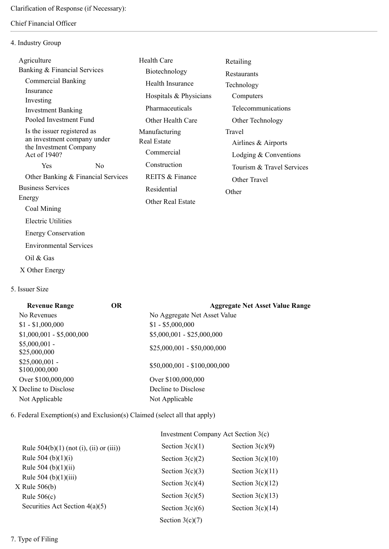## Chief Financial Officer

## 4. Industry Group

| Agriculture                                           |                                    | <b>Health Care</b>       | Retailing                 |
|-------------------------------------------------------|------------------------------------|--------------------------|---------------------------|
| Banking & Financial Services                          |                                    | Biotechnology            | Restaurants               |
| <b>Commercial Banking</b>                             |                                    | Health Insurance         | Technology                |
| Insurance<br>Investing                                |                                    | Hospitals & Physicians   | Computers                 |
| <b>Investment Banking</b>                             |                                    | Pharmaceuticals          | Telecommunications        |
| Pooled Investment Fund                                |                                    | Other Health Care        | Other Technology          |
| Is the issuer registered as                           |                                    | Manufacturing            | Travel                    |
| an investment company under<br>the Investment Company |                                    | <b>Real Estate</b>       | Airlines & Airports       |
| Act of 1940?                                          |                                    | Commercial               | Lodging $&$ Conventions   |
| Yes.                                                  | N <sub>0</sub>                     | Construction             | Tourism & Travel Services |
|                                                       | Other Banking & Financial Services | REITS & Finance          | Other Travel              |
| <b>Business Services</b>                              |                                    | Residential              | Other                     |
| Energy                                                |                                    | <b>Other Real Estate</b> |                           |
| Coal Mining                                           |                                    |                          |                           |
| <b>Electric Utilities</b>                             |                                    |                          |                           |

Environmental Services

Energy Conservation

- Oil & Gas
- X Other Energy
- 5. Issuer Size

| <b>Revenue Range</b>             | <b>OR</b> | <b>Aggregate Net Asset Value Range</b> |
|----------------------------------|-----------|----------------------------------------|
| No Revenues                      |           | No Aggregate Net Asset Value           |
| $$1 - $1,000,000$                |           | $$1 - $5,000,000$                      |
| $$1,000,001 - $5,000,000$        |           | $$5,000,001 - $25,000,000$             |
| $$5,000,001$ -<br>\$25,000,000   |           | $$25,000,001 - $50,000,000$            |
| $$25,000,001$ -<br>\$100,000,000 |           | $$50,000,001 - $100,000,000$           |
| Over \$100,000,000               |           | Over \$100,000,000                     |
| X Decline to Disclose            |           | Decline to Disclose                    |
| Not Applicable                   |           | Not Applicable                         |

6. Federal Exemption(s) and Exclusion(s) Claimed (select all that apply)

|                                              | Investment Company Act Section 3(c) |                    |  |
|----------------------------------------------|-------------------------------------|--------------------|--|
| Rule $504(b)(1)$ (not (i), (ii) or (iii))    | Section $3(c)(1)$                   | Section $3(c)(9)$  |  |
| Rule 504 (b) $(1)(i)$                        | Section $3(c)(2)$                   | Section $3(c)(10)$ |  |
| Rule 504 (b) $(1)(ii)$                       | Section $3(c)(3)$                   | Section $3(c)(11)$ |  |
| Rule $504$ (b) $(1)(iii)$<br>$X$ Rule 506(b) | Section $3(c)(4)$                   | Section $3(c)(12)$ |  |
| Rule $506(c)$                                | Section $3(c)(5)$                   | Section $3(c)(13)$ |  |
| Securities Act Section $4(a)(5)$             | Section $3(c)(6)$                   | Section $3(c)(14)$ |  |
|                                              | Section $3(c)(7)$                   |                    |  |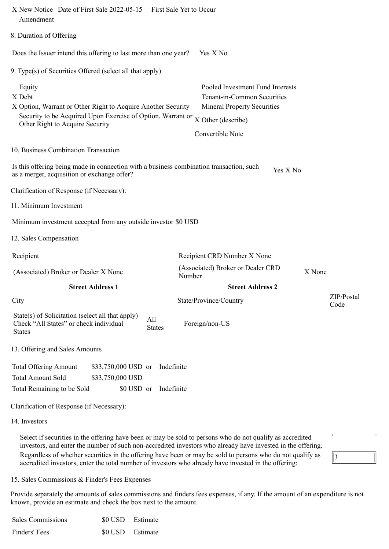| X New Notice Date of First Sale 2022-05-15 First Sale Yet to Occur<br>Amendment                                                                                                    |                                                                                                                                                 |                    |
|------------------------------------------------------------------------------------------------------------------------------------------------------------------------------------|-------------------------------------------------------------------------------------------------------------------------------------------------|--------------------|
| 8. Duration of Offering                                                                                                                                                            |                                                                                                                                                 |                    |
| Does the Issuer intend this offering to last more than one year?                                                                                                                   | Yes X No                                                                                                                                        |                    |
| 9. Type(s) of Securities Offered (select all that apply)                                                                                                                           |                                                                                                                                                 |                    |
| Equity<br>X Debt<br>X Option, Warrant or Other Right to Acquire Another Security<br>Security to be Acquired Upon Exercise of Option, Warrant or<br>Other Right to Acquire Security | Pooled Investment Fund Interests<br>Tenant-in-Common Securities<br><b>Mineral Property Securities</b><br>X Other (describe)<br>Convertible Note |                    |
| 10. Business Combination Transaction                                                                                                                                               |                                                                                                                                                 |                    |
| Is this offering being made in connection with a business combination transaction, such<br>as a merger, acquisition or exchange offer?                                             | Yes X No                                                                                                                                        |                    |
| Clarification of Response (if Necessary):                                                                                                                                          |                                                                                                                                                 |                    |
| 11. Minimum Investment                                                                                                                                                             |                                                                                                                                                 |                    |
| Minimum investment accepted from any outside investor \$0 USD                                                                                                                      |                                                                                                                                                 |                    |
| 12. Sales Compensation                                                                                                                                                             |                                                                                                                                                 |                    |
| Recipient                                                                                                                                                                          | Recipient CRD Number X None                                                                                                                     |                    |
| (Associated) Broker or Dealer X None                                                                                                                                               | (Associated) Broker or Dealer CRD<br>Number                                                                                                     | X None             |
| <b>Street Address 1</b>                                                                                                                                                            | <b>Street Address 2</b>                                                                                                                         |                    |
| City                                                                                                                                                                               | State/Province/Country                                                                                                                          | ZIP/Postal<br>Code |
| State(s) of Solicitation (select all that apply)<br>All<br>Check "All States" or check individual<br><b>States</b><br><b>States</b>                                                | Foreign/non-US                                                                                                                                  |                    |
| 13. Offering and Sales Amounts                                                                                                                                                     |                                                                                                                                                 |                    |
| <b>Total Offering Amount</b><br>\$33,750,000 USD or<br>Indefinite<br><b>Total Amount Sold</b><br>\$33,750,000 USD<br>Total Remaining to be Sold<br>\$0 USD or<br>Indefinite        |                                                                                                                                                 |                    |
| Clarification of Response (if Necessary):                                                                                                                                          |                                                                                                                                                 |                    |
| 14. Investors                                                                                                                                                                      |                                                                                                                                                 |                    |
| Select if securities in the offering have been or may be sold to persons who do not qualify as accredited                                                                          |                                                                                                                                                 |                    |

investors, and enter the number of such non-accredited investors who already have invested in the offering. Regardless of whether securities in the offering have been or may be sold to persons who do not qualify as accredited investors, enter the total number of investors who already have invested in the offering:

15. Sales Commissions & Finder's Fees Expenses

Provide separately the amounts of sales commissions and finders fees expenses, if any. If the amount of an expenditure is not known, provide an estimate and check the box next to the amount.

 $\sqrt{3}$ 

| <b>Sales Commissions</b> | \$0 USD Estimate |  |
|--------------------------|------------------|--|
| Finders' Fees            | \$0 USD Estimate |  |